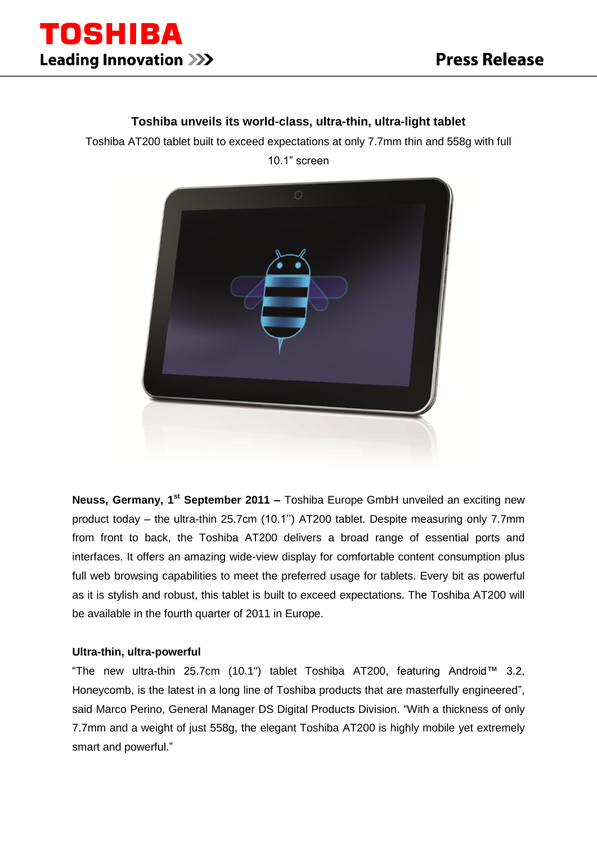

# **Toshiba unveils its world-class, ultra-thin, ultra-light tablet**

Toshiba AT200 tablet built to exceed expectations at only 7.7mm thin and 558g with full 10.1" screen



**Neuss, Germany, 1<sup>st</sup> September 2011 –** Toshiba Europe GmbH unveiled an exciting new product today – the ultra-thin 25.7cm (10.1'') AT200 tablet. Despite measuring only 7.7mm from front to back, the Toshiba AT200 delivers a broad range of essential ports and interfaces. It offers an amazing wide-view display for comfortable content consumption plus full web browsing capabilities to meet the preferred usage for tablets. Every bit as powerful as it is stylish and robust, this tablet is built to exceed expectations. The Toshiba AT200 will be available in the fourth quarter of 2011 in Europe.

# **Ultra-thin, ultra-powerful**

"The new ultra-thin 25.7cm (10.1") tablet Toshiba AT200, featuring Android™ 3.2, Honeycomb, is the latest in a long line of Toshiba products that are masterfully engineered", said Marco Perino, General Manager DS Digital Products Division. "With a thickness of only 7.7mm and a weight of just 558g, the elegant Toshiba AT200 is highly mobile yet extremely smart and powerful."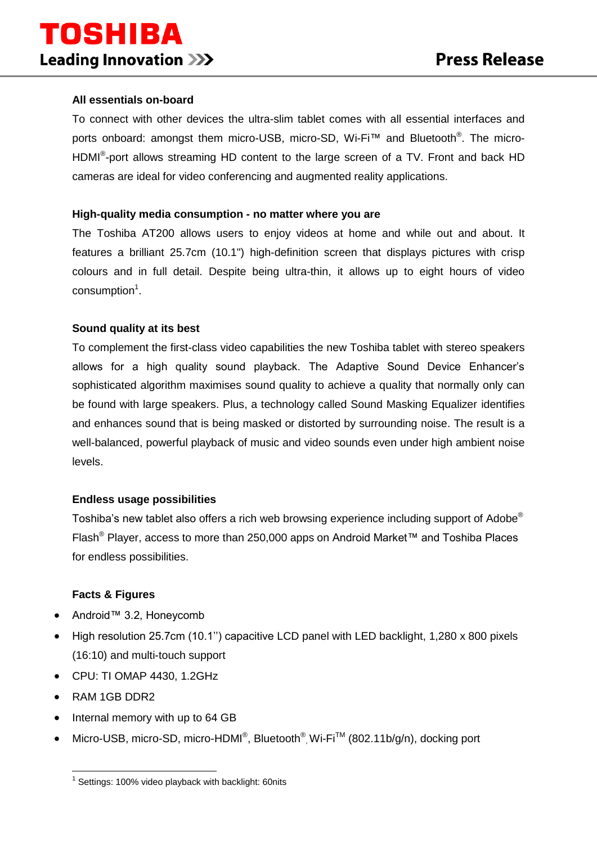# **All essentials on-board**

To connect with other devices the ultra-slim tablet comes with all essential interfaces and ports onboard: amongst them micro-USB, micro-SD, Wi-Fi™ and Bluetooth<sup>®</sup>. The micro-HDMI<sup>®</sup>-port allows streaming HD content to the large screen of a TV. Front and back HD cameras are ideal for video conferencing and augmented reality applications.

#### **High-quality media consumption - no matter where you are**

The Toshiba AT200 allows users to enjoy videos at home and while out and about. It features a brilliant 25.7cm (10.1") high-definition screen that displays pictures with crisp colours and in full detail. Despite being ultra-thin, it allows up to eight hours of video consumption<sup>1</sup>.

#### **Sound quality at its best**

To complement the first-class video capabilities the new Toshiba tablet with stereo speakers allows for a high quality sound playback. The Adaptive Sound Device Enhancer's sophisticated algorithm maximises sound quality to achieve a quality that normally only can be found with large speakers. Plus, a technology called Sound Masking Equalizer identifies and enhances sound that is being masked or distorted by surrounding noise. The result is a well-balanced, powerful playback of music and video sounds even under high ambient noise levels.

# **Endless usage possibilities**

Toshiba's new tablet also offers a rich web browsing experience including support of Adobe® Flash® Player, access to more than 250,000 apps on Android Market™ and Toshiba Places for endless possibilities.

#### **Facts & Figures**

- Android™ 3.2, Honeycomb
- High resolution 25.7cm (10.1'') capacitive LCD panel with LED backlight, 1,280 x 800 pixels (16:10) and multi-touch support
- CPU: TI OMAP 4430, 1.2GHz
- RAM 1GB DDR2

1

- Internal memory with up to 64 GB
- Micro-USB, micro-SD, micro-HDMI<sup>®</sup>, Bluetooth<sup>®</sup>, Wi-Fi<sup>™</sup> (802.11b/g/n), docking port

<sup>&</sup>lt;sup>1</sup> Settings: 100% video playback with backlight: 60nits